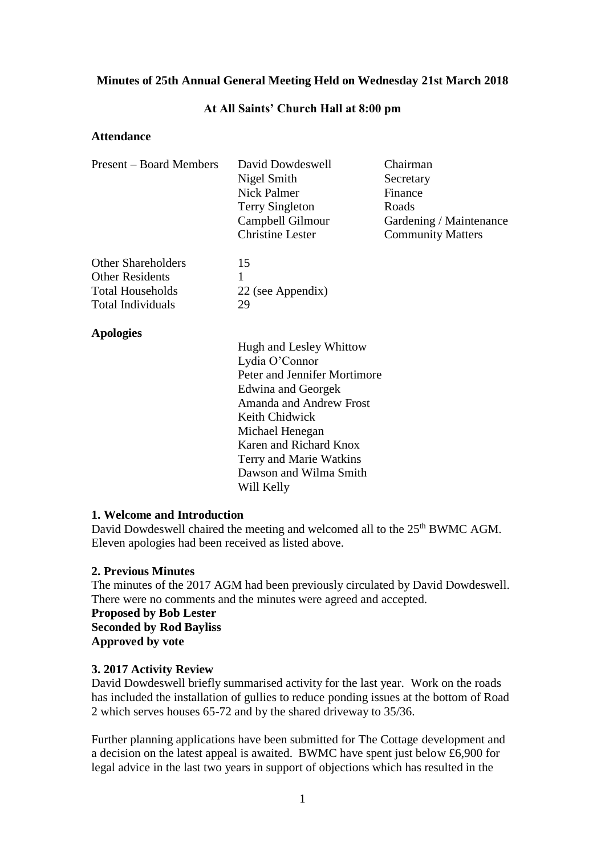# **Minutes of 25th Annual General Meeting Held on Wednesday 21st March 2018**

#### **At All Saints' Church Hall at 8:00 pm**

#### **Attendance**

| Present – Board Members   | David Dowdeswell<br>Chairman   |                          |  |
|---------------------------|--------------------------------|--------------------------|--|
|                           | Nigel Smith                    | Secretary                |  |
|                           | <b>Nick Palmer</b>             | Finance                  |  |
|                           | <b>Terry Singleton</b>         | Roads                    |  |
|                           | Campbell Gilmour               | Gardening / Maintenance  |  |
|                           | <b>Christine Lester</b>        | <b>Community Matters</b> |  |
| <b>Other Shareholders</b> | 15                             |                          |  |
| <b>Other Residents</b>    | 1                              |                          |  |
| <b>Total Households</b>   | 22 (see Appendix)              |                          |  |
| <b>Total Individuals</b>  | 29                             |                          |  |
| <b>Apologies</b>          |                                |                          |  |
|                           | Hugh and Lesley Whittow        |                          |  |
|                           | Lydia O'Connor                 |                          |  |
|                           | Peter and Jennifer Mortimore   |                          |  |
|                           | Edwina and Georgek             |                          |  |
|                           | <b>Amanda and Andrew Frost</b> |                          |  |
|                           | Keith Chidwick                 |                          |  |
|                           | Michael Henegan                |                          |  |
|                           | Karen and Richard Knox         |                          |  |
|                           | Terry and Marie Watkins        |                          |  |

#### **1. Welcome and Introduction**

David Dowdeswell chaired the meeting and welcomed all to the 25<sup>th</sup> BWMC AGM. Eleven apologies had been received as listed above.

Dawson and Wilma Smith

Will Kelly

# **2. Previous Minutes**

The minutes of the 2017 AGM had been previously circulated by David Dowdeswell. There were no comments and the minutes were agreed and accepted.

**Proposed by Bob Lester Seconded by Rod Bayliss Approved by vote**

# **3. 2017 Activity Review**

David Dowdeswell briefly summarised activity for the last year. Work on the roads has included the installation of gullies to reduce ponding issues at the bottom of Road 2 which serves houses 65-72 and by the shared driveway to 35/36.

Further planning applications have been submitted for The Cottage development and a decision on the latest appeal is awaited. BWMC have spent just below £6,900 for legal advice in the last two years in support of objections which has resulted in the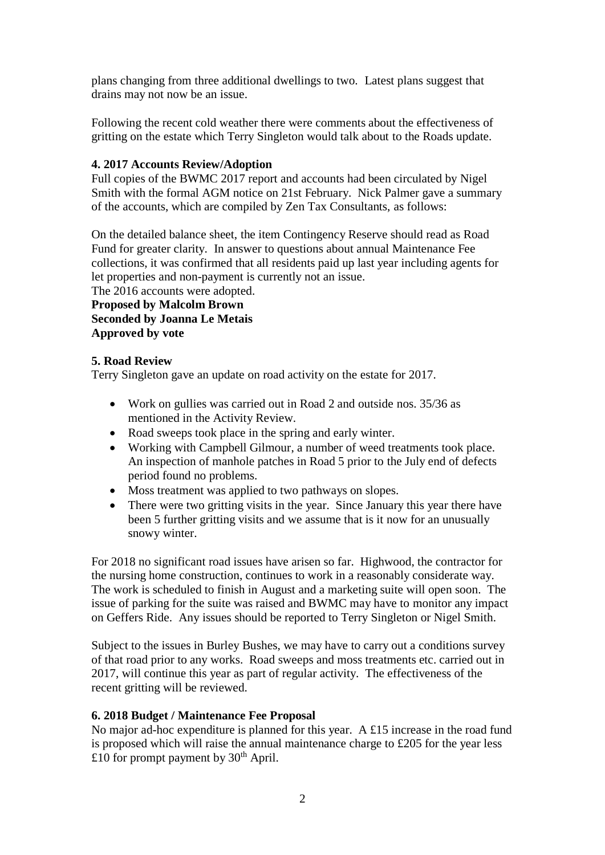plans changing from three additional dwellings to two. Latest plans suggest that drains may not now be an issue.

Following the recent cold weather there were comments about the effectiveness of gritting on the estate which Terry Singleton would talk about to the Roads update.

# **4. 2017 Accounts Review/Adoption**

Full copies of the BWMC 2017 report and accounts had been circulated by Nigel Smith with the formal AGM notice on 21st February. Nick Palmer gave a summary of the accounts, which are compiled by Zen Tax Consultants, as follows:

On the detailed balance sheet, the item Contingency Reserve should read as Road Fund for greater clarity. In answer to questions about annual Maintenance Fee collections, it was confirmed that all residents paid up last year including agents for let properties and non-payment is currently not an issue.

The 2016 accounts were adopted.

**Proposed by Malcolm Brown Seconded by Joanna Le Metais Approved by vote**

# **5. Road Review**

Terry Singleton gave an update on road activity on the estate for 2017.

- Work on gullies was carried out in Road 2 and outside nos. 35/36 as mentioned in the Activity Review.
- Road sweeps took place in the spring and early winter.
- Working with Campbell Gilmour, a number of weed treatments took place. An inspection of manhole patches in Road 5 prior to the July end of defects period found no problems.
- Moss treatment was applied to two pathways on slopes.
- There were two gritting visits in the year. Since January this year there have been 5 further gritting visits and we assume that is it now for an unusually snowy winter.

For 2018 no significant road issues have arisen so far. Highwood, the contractor for the nursing home construction, continues to work in a reasonably considerate way. The work is scheduled to finish in August and a marketing suite will open soon. The issue of parking for the suite was raised and BWMC may have to monitor any impact on Geffers Ride. Any issues should be reported to Terry Singleton or Nigel Smith.

Subject to the issues in Burley Bushes, we may have to carry out a conditions survey of that road prior to any works. Road sweeps and moss treatments etc. carried out in 2017, will continue this year as part of regular activity. The effectiveness of the recent gritting will be reviewed.

# **6. 2018 Budget / Maintenance Fee Proposal**

No major ad-hoc expenditure is planned for this year. A £15 increase in the road fund is proposed which will raise the annual maintenance charge to £205 for the year less £10 for prompt payment by  $30<sup>th</sup>$  April.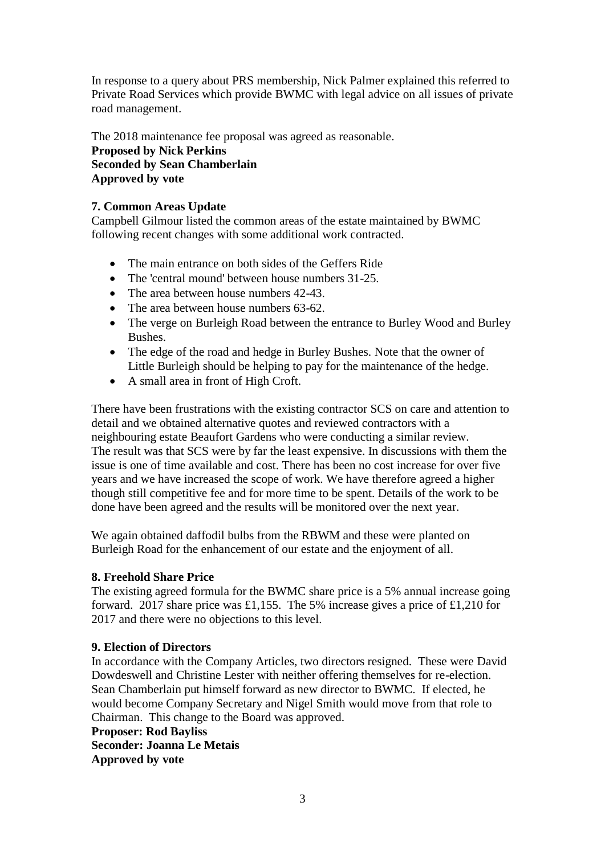In response to a query about PRS membership, Nick Palmer explained this referred to Private Road Services which provide BWMC with legal advice on all issues of private road management.

The 2018 maintenance fee proposal was agreed as reasonable. **Proposed by Nick Perkins Seconded by Sean Chamberlain Approved by vote**

# **7. Common Areas Update**

Campbell Gilmour listed the common areas of the estate maintained by BWMC following recent changes with some additional work contracted.

- The main entrance on both sides of the Geffers Ride
- The 'central mound' between house numbers 31-25.
- The area between house numbers 42-43.
- The area between house numbers 63-62.
- The verge on Burleigh Road between the entrance to Burley Wood and Burley Bushes.
- The edge of the road and hedge in Burley Bushes. Note that the owner of Little Burleigh should be helping to pay for the maintenance of the hedge.
- A small area in front of High Croft.

There have been frustrations with the existing contractor SCS on care and attention to detail and we obtained alternative quotes and reviewed contractors with a neighbouring estate Beaufort Gardens who were conducting a similar review. The result was that SCS were by far the least expensive. In discussions with them the issue is one of time available and cost. There has been no cost increase for over five years and we have increased the scope of work. We have therefore agreed a higher though still competitive fee and for more time to be spent. Details of the work to be done have been agreed and the results will be monitored over the next year.

We again obtained daffodil bulbs from the RBWM and these were planted on Burleigh Road for the enhancement of our estate and the enjoyment of all.

# **8. Freehold Share Price**

The existing agreed formula for the BWMC share price is a 5% annual increase going forward. 2017 share price was £1,155. The 5% increase gives a price of £1,210 for 2017 and there were no objections to this level.

# **9. Election of Directors**

In accordance with the Company Articles, two directors resigned. These were David Dowdeswell and Christine Lester with neither offering themselves for re-election. Sean Chamberlain put himself forward as new director to BWMC. If elected, he would become Company Secretary and Nigel Smith would move from that role to Chairman. This change to the Board was approved.

**Proposer: Rod Bayliss Seconder: Joanna Le Metais Approved by vote**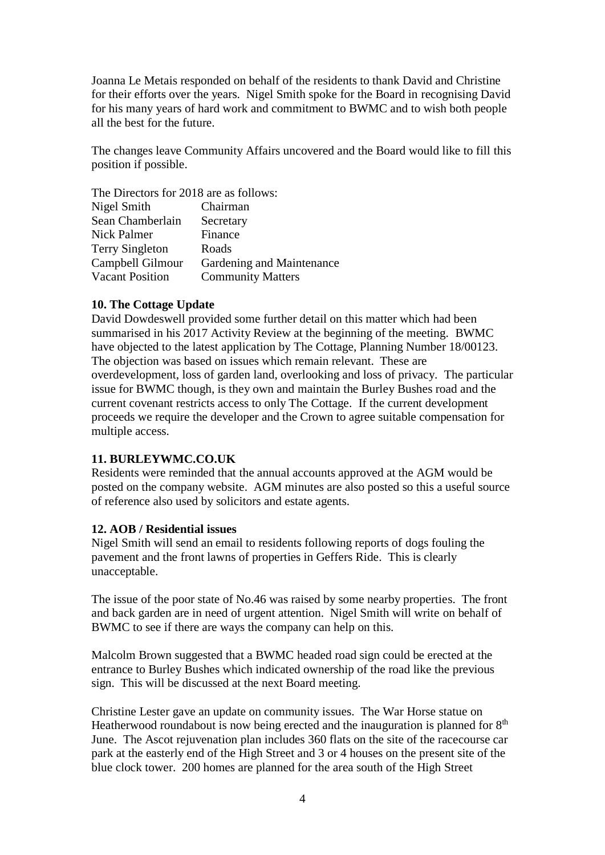Joanna Le Metais responded on behalf of the residents to thank David and Christine for their efforts over the years. Nigel Smith spoke for the Board in recognising David for his many years of hard work and commitment to BWMC and to wish both people all the best for the future.

The changes leave Community Affairs uncovered and the Board would like to fill this position if possible.

The Directors for 2018 are as follows: Nigel Smith Chairman Sean Chamberlain Secretary Nick Palmer Finance Terry Singleton Roads<br>Campbell Gilmour Garder Gardening and Maintenance Vacant Position Community Matters

# **10. The Cottage Update**

David Dowdeswell provided some further detail on this matter which had been summarised in his 2017 Activity Review at the beginning of the meeting. BWMC have objected to the latest application by The Cottage, Planning Number 18/00123. The objection was based on issues which remain relevant. These are overdevelopment, loss of garden land, overlooking and loss of privacy. The particular issue for BWMC though, is they own and maintain the Burley Bushes road and the current covenant restricts access to only The Cottage. If the current development proceeds we require the developer and the Crown to agree suitable compensation for multiple access.

# **11. BURLEYWMC.CO.UK**

Residents were reminded that the annual accounts approved at the AGM would be posted on the company website. AGM minutes are also posted so this a useful source of reference also used by solicitors and estate agents.

# **12. AOB / Residential issues**

Nigel Smith will send an email to residents following reports of dogs fouling the pavement and the front lawns of properties in Geffers Ride. This is clearly unacceptable.

The issue of the poor state of No.46 was raised by some nearby properties. The front and back garden are in need of urgent attention. Nigel Smith will write on behalf of BWMC to see if there are ways the company can help on this.

Malcolm Brown suggested that a BWMC headed road sign could be erected at the entrance to Burley Bushes which indicated ownership of the road like the previous sign. This will be discussed at the next Board meeting.

Christine Lester gave an update on community issues. The War Horse statue on Heatherwood roundabout is now being erected and the inauguration is planned for  $8<sup>th</sup>$ June. The Ascot rejuvenation plan includes 360 flats on the site of the racecourse car park at the easterly end of the High Street and 3 or 4 houses on the present site of the blue clock tower. 200 homes are planned for the area south of the High Street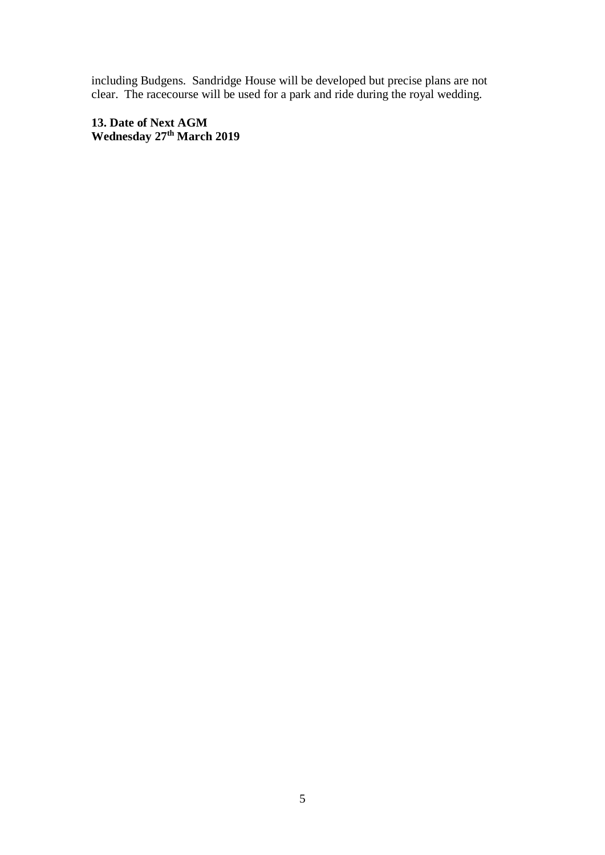including Budgens. Sandridge House will be developed but precise plans are not clear. The racecourse will be used for a park and ride during the royal wedding.

**13. Date of Next AGM Wednesday 27th March 2019**